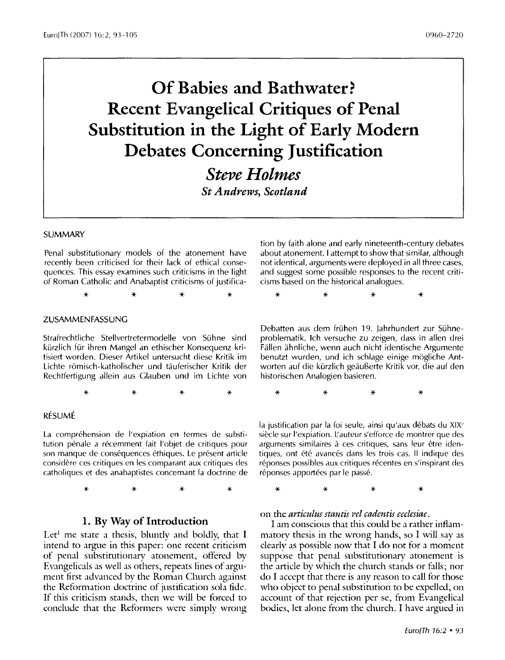# **Of Babies and Bathwater? Recent Evangelical Critiques of Penal Substitution in the Light of Early Modern Debates Concerning Justification**

*Steve Holmes* 

*St Andrews, Scotland* 

### **SUMMARY**

Penal substitutionary models of the atonement have recently been criticised for their lack of ethical consequences. This essay examines such criticisms in the light of Roman Catholic and Anabaptist criticisms of justifica-

\* \* \* \*

#### ZUSAMMENFASSUNG

Strafrechtliche Stellvertretermodelle von Suhne sind kürzlich für ihren Mangel an ethischer Konsequenz kritisiert worden. Dieser Artikel untersucht diese Kritik im Lichte römisch-katholischer und täuferischer Kritik der Rechtfertigung allein aus Glauben und im Lichte von

\* \* \* \*

#### RÉSUMÉ

La compréhension de l'expiation en termes de substitution pénale a récemment fait l'objet de critiques pour son manque de conséquences éthiques. Le présent article considere ces critiques en les comparant aux critiques des catholiques et des anabaptistes concernant la doctrine de

\* \* \* \*

## **1. By Way of Introduction**

Let<sup>1</sup> me state a thesis, bluntly and boldly, that I intend to argue in this paper: one recent criticism of penal substitutionary atonement, offered by Evangelicals as well as others, repeats lines of argument first advanced by the Roman Church against the Reformation doctrine of justification sola fide. If this criticism stands, then we will be forced to conclude that the Reformers were simply wrong tion by faith alone and early nineteenth-century debates about atonement. I attempt to show that similar, although not identical, arguments were deployed in all three cases, and suggest some possible responses to the recent criticisms based on the historical analogues.

\* \* \* \*

Debatten aus dem fruhen 19. Jahrhundert zur Suhneproblematik. lch versuche zu zeigen, dass in alien drei Fallen ahnliche, wenn auch nicht identische Argumente benutzt wurden, und ich schlage einige mogliche Antworten auf die kürzlich geäußerte Kritik vor, die auf den historischen Analogien basieren.

\* \* \* \*

la justification par la foi seule, ainsi qu'aux débats du XIX<sup>e</sup> siècle sur l'expiation. L'auteur s'efforce de montrer que des arguments similaires à ces critiques, sans leur être identiques, ont été avancés dans les trois cas. Il indique des réponses possibles aux critiques récentes en s'inspirant des réponses apportées par le passé.

\* \* \* \*

on the *articulus stantis Pel cadentis ecclesiae.* 

I am conscious that this could be a rather inflammatory thesis in the wrong hands, so I will say as clearly as possible now that I do not for a moment suppose that penal substitutionary atonement is the article bv which the church stands or falls; nor do I accept that there is any reason to call for those who object to penal substitution to be expelled, on account of that rejection per se, from Evangelical bodies, let alone from the church. I have argued in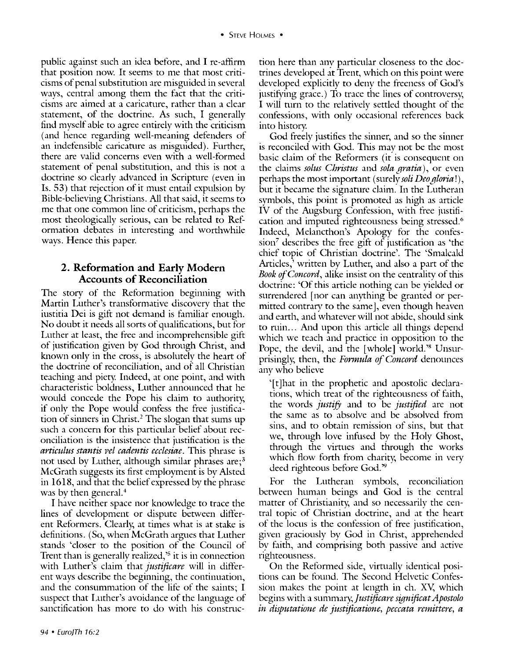public against such an idea before, and I re-affirm that position now. It seems to me that most criticisms of penal substimtion are misguided in several ways, central among them the fact that the criticisms are aimed at a caricature, rather than a clear statement, of the doctrine. As such, I generally find myself able to agree entirely with the criticism (and hence regarding well-meaning defenders of an indefensible caricature as misguided). Further, there are valid concerns even with a well-formed statement of penal substitution, and this is not a doctrine so clearly advanced in Scripnire (even in Is. 53) that rejection of it must entail expulsion by Bible-believing Christians. All that said, it seems to me that one common line of criticism, perhaps the most theologically serious, can be related to Reformation debates in interesting and worthwhile ways. Hence this paper.

# **2. Reformation and Early Modern Accounts of Reconciliation**

The story of the Reformation beginning with Martin Luther's transformative discoverv that the iustitia Dei is gift not demand is familiar enough. No doubt it needs all sorts of qualifications, but for Luther at least, the free and incomprehensible gift of justification given by God through Christ, and known only in the cross, is absolutely the heart of the doctrine of reconciliation, and of all Christian teaching and piety. Indeed, at one point, and with characteristic boldness, Luther announced that he would concede the Pope his claim to authority, if only the Pope would confess the free justifica tion of sinners in Christ.<sup>2</sup> The slogan that sums up such a concern for this particular belief about reconciliation is the insistence that justification is the *articulus stantis Pel cadentis ecclesiae.* This phrase is not used by Luther, although similar phrases are;<sup>3</sup> McGrath suggests its first employment is by Alsted in 1618, and that the belief expressed by the phrase was by then general.<sup>4</sup>

I have neither space nor knowledge to trace the lines of development or dispute between different Reformers. Clearly, at times what is at stake is definitions. (So, when McGrath argues that Luther stands 'closer to the position of the Council of Trent than is generally realized,'5 it is in connection with Luther's claim that *justificare* will in different ways describe the beginning, the continuation, and the consummation of the life of the saints; I suspect that Luther's avoidance of the language of sanctification has more to do with his constmction here than any particular closeness to the doctrines developed at Trent, which on this point were developed explicitly to deny the freeness of God's justifying grace.) To trace the lines of controversy, I will turn to the relatively settled thought of the confessions, with only occasional references back into history.

God freely justifies the sinner, and so the sinner is reconciled with God. This mav not be the most basic claim of the Reformers (it is consequent on the claims *solus Christus* and *sola gratia),* or even perhaps the most important (surely *soli Deo gloria* ! ) , but it became the signature claim. In the Lutheran symbols, this point is promoted as high as article IV of the Augsburg Confession, with free justification and imputed righteousness being stressed.<sup>6</sup> Indeed, Melancthon's Apology for the confession7 describes the free gift of justification as 'the chief topic of Christian doctrine'. The 'Smalcald Articles,' written by Luther, and also a part of the *Book of Concord,* alike insist on the centrality of this doctrine: 'Of this article nothing can be yielded or surrendered [nor can anything be granted or permitted contrary to the same], even though heaven and earth, and whatever will not abide, should sink to min ... And upon this article all things depend which we teach and practice in opposition to the Pope, the devil, and the [whole] world.'<sup>8</sup> Unsurprisingly, then, the *Fonnula of Concord* denounces any who believe

'[t]hat in the prophetic and apostolic declarations, which treat of the righteousness of faith, the words *justifY* and to be *justified* are not the same as to absolve and be absolved from sins, and to obtain remission of sins, but that we, through love infused by the Holy Ghost, through the virtues and through the works which flow forth from charity, become in very deed righteous before God."

For the Lutheran symbols, reconciliation between human beings and God is the central matter of Christianity, and so necessarily the central topic of Christian doctrine, and at the heart of the locus is the confession of free justification, given graciously by God in Christ, apprehended by faith, and comprising both passive and active righteousness.

On the Reformed side, virtually identical positions can be found. The Second Helvetic Confession makes the point at length in eh. XV, which begins with a *summary,]ustificare significatApostolo in disputatione de justificatione, peccata remittere, a*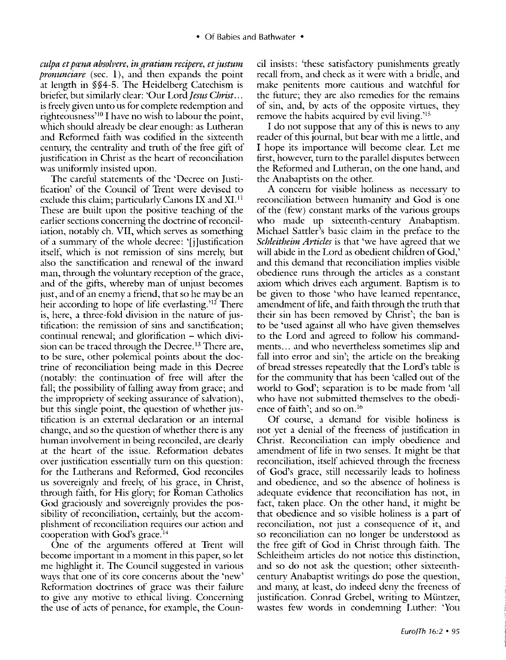*culpa et prena absoh>ere, in gratiam recipere, et justum pronunciare* (sec. 1), and then expands the point at length in §§4-5. The Heidelberg Catechism is briefer, but similarly clear: 'Our Lord *Jesus Christ ...*  is freely given unto us for complete redemption and righteousness<sup>10</sup> I have no wish to labour the point, which should already be clear enough: as Lutheran and Reformed faith was codified in the sixteenth century, the centrality and truth of the free gift of justification in Christ as the heart of reconciliation was uniformly insisted upon.

The careful statements of the 'Decree on Justification' of the Council of Trent were devised to exclude this claim; particularly Canons IX and  $XI<sup>11</sup>$ These are built upon the positive teaching of the earlier sections concerning the doctrine of reconciliation, notably eh. VII, which serves as something of a summary of the whole decree: '[j]ustification itself, which is not remission of sins merely, but also the sanctification and renewal of the inward man, through the voluntary reception of the grace, and of the gifts, whereby man of unjust becomes just, and of an enemy a friend, that so he may be an heir according to hope of life everlasting.'12 There is, here, a three-fold division in the nature of justification: the remission of sins and sanctification; continual renewal; and glorification - which division can be traced through the Decree.<sup>13</sup> There are, to be sure, other polemical points about the doctrine of reconciliation being made in this Decree (notably: the continuation of free will after the fall; the possibility of falling away from grace; and the impropriety of seeking assurance of salvation), but this single point, the question of whether justification is an external declaration or an internal change, and so the question of whether there is any human involvement in being reconciled, are clearly at the heart of the issue. Reformation debates over justification essentially turn on this question: for the Lutherans and Reformed, God reconciles us sovereignly and freely, of his grace, in Christ, through faith, for His glory; for Roman Catholics God graciously and sovereignly provides the possibility of reconciliation, certainly, but the accomplishment of reconciliation requires our action and cooperation with God's grace. $<sup>14</sup>$ </sup>

One of the arguments offered at Trent will become important in a moment in this paper, so let me highlight it. The Council suggested in various ways that one of its core concerns about the 'new' Reformation doctrines of grace was their failure to give any motive to ethical living. Concerning the use of acts of penance, for example, the Council insists: 'these satisfactory punishments greatly recall from, and check as it were with a bridle, and make penitents more cautious and watchful for the future; they are also remedies for the remains of sin, and, by acts of the opposite virtues, they remove the habits acquired by evil living.<sup>215</sup>

I do not suppose that any of this is news to any reader of this journal, but bear with me a little, and I hope its importance will become clear. Let me first, however, turn to the parallel disputes between the Reformed and Lutheran, on the one hand, and the Anabaptists on the other.

A concern for visible holiness as necessarv to reconciliation between humanity and God is one of the (few) constant marks of the various groups who made up sixteenth-century Anabaptism. Michael Sattler's basic claim in the preface to the *Schleitheim Articles* is that 'we have agreed that we will abide in the Lord as obedient children of God,' and this demand that reconciliation implies visible obedience rnns through the articles as a constant axiom which drives each argument. Baptism is to be given to those 'who have learned repentance, amendment of life, and faith through the trnth that their sin has been removed by Christ'; the ban is to be 'used against all who have given themselves to the Lord and agreed to follow his commandments ... and who nevertheless sometimes slip and fall into error and sin'; the article on the breaking of bread stresses repeatedly that the Lord's table is for the community that has been 'called out of the world to God'; separation is to be made from 'all who have not submitted themselves to the obedience of faith'; and so on.<sup>16</sup>

Of course, a demand for visible holiness is not yet a denial of the freeness of justification in Christ. Reconciliation can imply obedience and amendment of life in two senses. It might be that reconciliation, itself achieved through the freeness of God's grace, still necessarily leads to holiness and obedience, and so the absence of holiness is adequate evidence that reconciliation has not, in fact, taken place. On the other hand, it might be that obedience and so visible holiness is a part of reconciliation, not just a consequence of it, and so reconciliation can no longer be understood as the free gift of God in Christ through faith. The Schleitheim articles do not notice this distinction, and so do not ask the question; other sixteenthcentury Anabaptist writings do pose the question, and many, at least, do indeed deny the freeness of justification. Conrad Grebel, writing to Müntzer, wastes few words in condemning Luther: 'You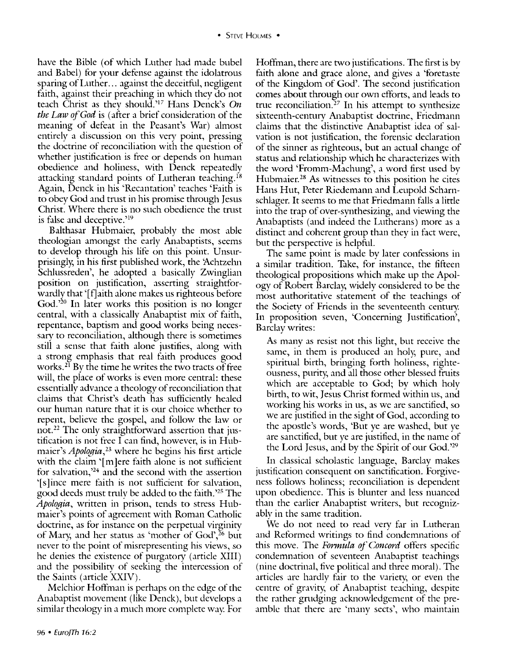have the Bible (of which Luther had made bubel and Babel) for your defense against the idolatrous sparing of Luther ... against the deceitful, negligent faith, against their preaching in which they do not teach Christ as they should.'17 Hans Denck's On *the Law of God* is (after a brief consideration of the meaning of defeat in the Peasant's War) almost entirely a discussion on this very point, pressing the doctrine of reconciliation with the question of whether justification is free or depends on human obedience and holiness, with Denck repeatedly attacking standard points of Lutheran teaching.<sup>18</sup> Again, Denck in his 'Recantation' teaches 'Faith is to obey God and trnst in his promise through Jesus Christ. Where there is no such obedience the trnst is false and deceptive.'19

Balthasar Hubmaier, probably the most able theologian amongst the early Anabaptists, seems to develop through his life on this point. Unsurprisingly, in his first published work, the 'Achtzehn Schlussreden', he adopted a basically Zwinglian position on justification, asserting straightforwardly that '[f]aith alone makes us righteous before God. ' 20 In later works this position is no longer central, with a classically Anabaptist mix of faith, repentance, baptism and good works being necessary to reconciliation, although there is sometimes still a sense that faith alone justifies, along with a strong emphasis that real faith produces good works. 21 By the time he writes the two tracts of free will, the place of works is even more central: these essentially advance a theology of reconciliation that claims that Christ's death has sufficiently healed our human nature that it is our choice whether to repent, believe the gospel, and follow the law or not. 22 The only straightforward assertion that justification is not free I can find, however, is in Hubmaier's *Apologia,23* where he begins his first article with the claim '[m]ere faith alone is not sufficient for salvation,'24 and the second with the assertion '[ s ]ince mere faith is not sufficient for salvation, good deeds must tmly be added to the faith.'25 The Apologia, written in prison, tends to stress Hubmaier's points of agreement with Roman Catholic doctrine, as for instance on the perpetual virginity of Marv, and her status as 'mother of God',26 but never to the point of misrepresenting his views, so he denies the existence of purgatory (article XIII) and the possibility of seeking the intercession of the Saints (article XXIV).

Melchior Hoffman is perhaps on the edge of the Anabaptist movement (like Denck), but develops a similar theology in a much more complete way. For

Hoffman, there are two justifications. The first is by faith alone and grace alone, and gives a 'foretaste of the Kingdom of God'. The second justification comes about through our own efforts, and leads to true reconciliation.<sup>27</sup> In his attempt to synthesize sixteenth-century Anabaptist doctrine, Friedmann claims that the distinctive Anabaptist idea of salvation is not justification, the forensic declaration of the sinner as righteous, but an actual change of status and relationship which he characterizes with the word 'Fromm-Machung', a word first used by Hubmaier.<sup>28</sup> As witnesses to this position he cites Hans Hut, Peter Riedemann and Leupold Scharnschlager. It seems to me that Friedmann falls a little into the trap of over-synthesizing, and viewing the Anabaptists (and indeed the Lutherans) more as a distinct and coherent group than they in fact were, but the perspective is helpful.

The same point is made by later confessions in a similar tradition. Take, for instance, the fifteen theological propositions which make up the Apology of Robert Barclay, widely considered to be the most authoritative statement of the teachings of the Society of Friends in the seventeenth century. In proposition seven, 'Concerning Justification', Barclay writes:

As many as resist not this light, but receive the same, in them is produced an holy, pure, and spiritual birth, bringing forth holiness, righteousness, purity, and all those other blessed fmits which are acceptable to God; by which holy birth, to wit, Jesus Christ formed within us, and working his works in us, as we are sanctified, so we are justified in the sight of God, according to the apostle's words, 'But ye are washed, but ye are sanctified, but ye are justified, in the name of the Lord Jesus, and by the Spirit of our God.'<sup>29</sup>

In classical scholastic language, Barclay makes justification consequent on sanctification. Forgiveness follows holiness; reconciliation is dependent upon obedience. This is blunter and less nuanced than the earlier Anabaptist writers, but recognizablv in the same tradition.

We do not need to read very far in Lutheran and Reformed writings to find condemnations of this move. The *Fonnula of Concord* offers specific condemnation of seventeen Anabaptist teachings (nine doctrinal, five political and three moral). The articles arc hardly fair to the varietv, or even the centre of gravity, of Anabaptist teaching, despite the rather grndging acknowledgement of the preamble that there are 'many sects', who maintain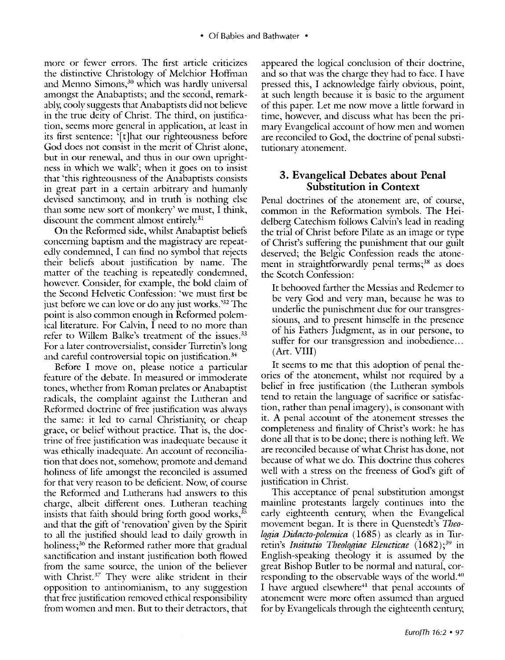more or fewer errors. The first article criticizes the distinctive Christology of Melchior Hoffman and Menno Simons,<sup>30</sup> which was hardly universal amongst the Anabaptists; and the second, remarkably, cooly suggests that Anabaptists did not believe in the trne deity of Christ. The third, on justification, seems more general in application, at least in its first sentence: '[t]hat our righteousness before God does not consist in the merit of Christ alone, but in our renewal, and thus in our own uprightness in which we walk'; when it goes on to insist that 'this righteousness of the Anabaptists consists in great part in a certain arbitrary and humanly devised sanctimony, and in truth is nothing else than some new sort of monkerv' we must, I think, discount the comment almost entirely. $31$ 

On the Reformed side, whilst Anabaptist beliefs concerning baptism and the magistracy are repeatedly condemned, I can find no symbol that rejects their beliefs about justification by name. The matter of the teaching is repeatedly condemned, however. Consider, for example, the bold claim of the Second Helvetic Confession: 'we must first be just before we can love or do any just works. ' 32 The point is also common enough in Reformed polemical literature. For Calvin, I need to no more than refer to Willem Balke's treatment of the issues.<sup>33</sup> For a later controversialist, consider Turretin's long and careful controversial topic on justification. 34

Before I move on, please notice a particular feature of the debate. In measured or immoderate tones, whether from Roman prelates or Anabaptist radicals, the complaint against the Lutheran and Reformed doctrine of free justification was always the same: it led to carnal Christianity, or cheap grace, or belief without practice. That is, the doctrine of free justification was inadequate because it was ethically inadequate. An account of reconciliation that does not, somehow, promote and demand holiness of life amongst the reconciled is assumed for that verv reason to be deficient. Now, of course the Reformed and Lutherans had answers to this charge, albeit different ones. Lutheran teaching insists that faith should bring forth good works,<sup>35</sup> and that the gift of 'renovation' given by the Spirit to all the justified should lead to daily growth in holiness; 36 the Reformed rather more that gradual sanctification and instant justification both flowed from the same source, the union of the believer with Christ.<sup>37</sup> They were alike strident in their opposition to antinomianism, to any suggestion that free justification removed ethical responsibility from women and men. But to their detractors, that

appeared the logical conclusion of their doctrine, and so that was the charge they had to face. I have pressed this, I acknowledge fairly obvious, point, at such length because it is basic to the argument of this paper. Let me now move a little forward in time, however, and discuss what has been the primary Evangelical account of how men and women are reconciled to God, the doctrine of penal substitutionary atonement.

## **3. Evangelical Debates about Penal Substitution in Context**

Penal doctrines of the atonement are, of course, common in the Reformation symbols. The Heidelberg Catechism follows Calvin's lead in reading the trial of Christ before Pilate as an image or type of Christ's suffering the punishment that our guilt deserved; the Belgic Confession reads the atonement in straightforwardly penal terms;<sup>38</sup> as does the Scotch Confession:

It behooved farther the Messias and Redemer to be very God and very man, because he was to underlie the punischment due for our transgressiouns, and to present himselfe in the presence of his Fathers Judgment, as in our persone, to suffer for our transgression and inobedience... (Art. VIII)

It seems to me that this adoption of penal theories of the atonement, whilst not required by a belief in free justification (the Lutheran symbols tend to retain the language of sacrifice or satisfaction, rather than penal imagery), is consonant with it. A penal account of the atonement stresses the completeness and finality of Christ's work: he has done all that is to be done; there is nothing left. We are reconciled because of what Christ has done, not because of what we do. This doctrine thus coheres well with a stress on the freeness of God's gift of justification in Christ.

This acceptance of penal substitution amongst mainline protestants largely continues into the early eighteenth century, when the Evangelical movement began. It is there in Quenstedt's *Theologia Didacto-polemica* ( 1685) as clearly as in Turretin's *Jnsitutio Theologiae Elencticae* (1682); 39 in English-speaking theology it is assumed by the great Bishop Butler to be normal and natural, corresponding to the observable ways of the world.<sup>40</sup> I have argued elsewhere<sup>41</sup> that penal accounts of atonement were more often assumed than argued for by Evangelicals through the eighteenth century,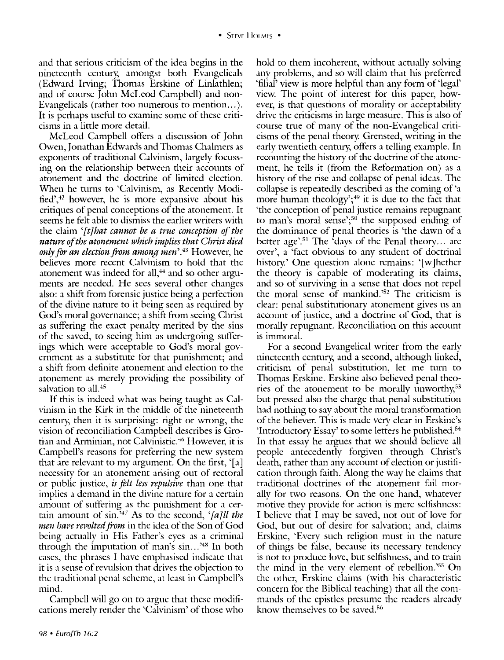and that serious criticism of the idea begins in the nineteenth century, amongst both Evangelicals (Edward Irving; Thomas Erskine of Linlathlen; and of course John McLeod Campbell) and non-Evangelicals (rather too numerous to mention...). It is perhaps useful to examine some of these criticisms in a little more detail.

McLeod Campbell offers a discussion of John Owen, Jonathan Edwards and Thomas Chalmers as exponents of traditional Calvinism, largely focussing on the relationship between their accounts of atonement and the doctrine of limited election. When he turns to 'Calvinism, as Recently Modified', $+2$  however, he is more expansive about his critiques of penal conceptions of the atonement. It seems he felt able to dismiss the earlier writers with the claim *'[t]hat cannot be a true conception of the nature of the atonement which implies that Christ died only for an election from among men'. <sup>43</sup>*However, he believes more recent Calvinism to hold that the atonement was indeed for all, $44$  and so other arguments are needed. He sees several other changes also: a shift from forensic justice being a perfection of the divine nature to it being seen as required by God's moral governance; a shift from seeing Christ as suffering the exact penalty merited by the sins of the saved, to seeing him as undergoing sufferings which were acceptable to God's moral government as a substitute for that punishment; and a shift from definite atonement and election to the atonement as merely providing the possibility of salvation to all.<sup>45</sup>

If this is indeed what was being taught as Calvinism in the Kirk in the middle of the nineteenth century, then it is surprising: right or wrong, the vision of reconciliation Campbell describes is Grotian and Arminian, not Calvinistic.<sup>46</sup> However, it is Campbell's reasons for preferring the new system that are relevant to my argument. On the first, '[a] necessity for an atonement arising out of rectoral or public justice, *is felt less repulsive* than one that implies a demand in the divine nature for a certain amount of suffering as the punishment for a certain amount of sin.'47 As to the second, *'[a]ll the men have revolted from* in the idea of the Son of God being actually in His Father's eyes as a criminal through the imputation of man's sin...<sup>348</sup> In both cases, the phrases I have emphasised indicate that it is a sense of revulsion that drives the objection to the traditional penal scheme, at least in Campbell's mind.

Campbell will go on to argue that these modifications merely render the 'Calvinism' of those who

hold to them incoherent, without actually solving any problems, and so will claim that his preferred 'filial' view is more helpful than any form of 'legal' view. The point of interest for this paper, however, is that questions of morality or acceptability drive the criticisms in large measure. This is also of course trne of many of the non-Evangelical criticisms of the penal theory. Grensted, writing in the early twentieth century, offers a telling example. In recounting the history of the doctrine of the atonement, he tells it (from the Reformation on) as a history of the rise and collapse of penal ideas. The collapse is repeatedly described as the coming of 'a more human theology'; $49$  it is due to the fact that 'the conception of penal justice remains repugnant to man's moral sense';<sup>50</sup> the supposed ending of the dominance of penal theories is 'the dawn of a better age'.<sup>51</sup> The 'days of the Penal theory... are over', a 'fact obvious to any student of doctrinal history.' One question alone remains: '[w]hether the theory is capable of moderating its claims, and so of surviving in a sense that does not repel the moral sense of mankind.<sup>352</sup> The criticism is clear: penal substitutionary atonement gives us an account of justice, and a doctrine of God, that is morally repugnant. Reconciliation on this account is immoral.

For a second Evangelical writer from the early nineteenth century, and a second, although linked, criticism of penal substitution, let me turn to Thomas Erskine. Erskine also believed penal theories of the atonement to be morally unworthy, $53$ but pressed also the charge that penal substitution had nothing to say about the moral transformation of the believer. This is made very clear in Erskine's 'Introductory Essay' to some letters he published. <sup>54</sup> In that essay he argues that we should believe all people antecedently forgiven through Christ's death, rather than any account of election or justification through faith: Along the way he claims that traditional doctrines of the atonement fail morally for two reasons. On the one hand, whatever motive they provide for action is mere selfishness: I believe that I mav be saved, not out of love for God, but out of desire for salvation; and, claims Erskine, 'Every such religion must in the nature of things be false, because its necessary tendency is not to produce love, but selfishness, and to train the mind in the verv element of rebellion. ' 55 On the other, Erskine claims (with his characteristic concern for the Biblical teaching) that all the commands of the epistles presume the readers already know themselves to be saved.<sup>56</sup>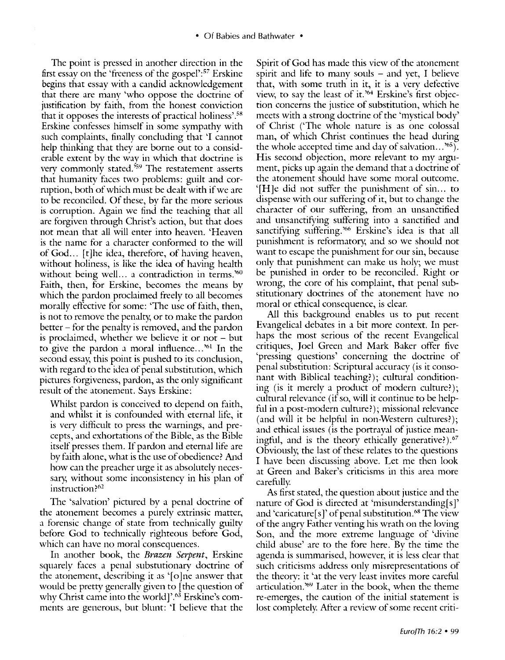The point is pressed in another direction in the first essay on the 'freeness of the gospel':<sup>57</sup> Erskine begins that essay with a candid acknowledgement that there are many 'who oppose the doctrine of justification by faith, from the honest conviction that it opposes the interests of practical holiness'.58 Erskine confesses himself in some sympathy with such complaints, finally concluding that 'I cannot help thinking that they are borne out to a considerable extent by the way in which that doctrine is very commonly stated.<sup>559</sup> The restatement asserts that humanity faces two problems: guilt and corruption, both of which must be dealt with if we are to be reconciled. Of these, by far the more serious is corruption. Again we find the teaching that all are forgiven through Christ's action, but that does not mean that all will enter into heaven. 'Heaven is the name for a character conformed to the will of God... [t]he idea, therefore, of having heaven, without holiness, is like the idea of having health without being well... a contradiction in terms.<sup>360</sup> Faith, then, for Erskine, becomes the means by which the pardon proclaimed freely to all becomes morally effective for some: 'The use of faith, then, is not to remove the penalty, or to make the pardon better - for the penalty is removed, and the pardon is proclaimed, whether we believe it or not  $-$  but to give the pardon a moral influence...<sup>361</sup> In the second essay, this point is pushed to its conclusion, with regard to the idea of penal substitution, which pictures forgiveness, pardon, as the only significant result of the atonement. Says Erskine:

Whilst pardon is conceived to depend on faith, and whilst it is confounded with eternal life, it is very difficult to press the warnings, and precepts, and exhortations of the Bible, as the Bible itself presses them. If pardon and eternal life are by faith alone, what is the use of obedience? And how can the preacher urge it as absolutely necessary, without some inconsistency in his plan of instruction?<sup>62</sup>

The 'salvation' pictured by a penal doctrine of the atonement becomes a purely extrinsic matter, a forensic change of state from technically guilty before God to technically righteous before God, which can have no moral consequences.

In another book, the *Brazen Serpent,* Erskine squarely faces a penal substutionary doctrine of the atonement, describing it as  $\lceil o \rceil$  ne answer that would be pretty generally given to [the question of why Christ came into the world]'. 63 Erskine's comments are generous, but blunt: 'I believe that the Spirit of God has made this view of the atonement spirit and life to many souls  $-$  and yet, I believe that, with some truth in it, it is a very defective view, to say the least of it.'64 Erskine's first objection concerns the justice of substitution, which he meets with a strong doctrine of the 'mystical body' of Christ ('The whole nature is as one colossal man, of which Christ continues the head during the whole accepted time and day of salvation... $^{\prime 65}$ ). His second objection, more relevant to my argument, picks up again the demand that a doctrine of the atonement should have some moral outcome. '[H]e did not suffer the punishment of sin... to dispense with our suffering of it, but to change the character of our suffering, from an unsanctified and unsanctifying suffering into a sanctified and sanctifying suffering. ' 66 Erskine's idea is that all punishment is reformatory, and so we should not want to escape the punishment for our sin, because only that punishment can make us holy; we must be punished in order to be reconciled. Right or wrong, the core of his complaint, that penal substitutionary doctrines of the atonement have no moral or ethical consequence, is clear.

All this background enables us to put recent Evangelical debates in a bit more context. In perhaps the most serious of the recent Evangelical critiques, Joel Green and Mark Baker offer five 'pressing questions' concerning the doctrine of penal substitution: Scriptural accuracy (is it consonant with Biblical teaching?); cultural conditioning (is it merely a product of modern culture?); cultural relevance (if so, will it continue to be helpful in a post-modern culture?); missional relevance (and will it be helpful in non-Western cultures?); and ethical issues (is the portrayal of justice meaningful, and is the theory ethically generative?).<sup>67</sup> Obviously, the last of these relates to the questions I have been discussing above. Let me then look at Green and Baker's criticisms in this area more carefully

As first stated, the question about justice and the nature of God is directed at 'misunderstanding $[s]$ ' and 'caricature[s]' of penal substitution. $68$  The view of the angry Father venting his wrath on the loving Son, and the more extreme language of 'divine child abuse' arc to the fore here. Bv the time the agenda is summarised, however, it is less clear that such criticisms address only misrepresentations of the theorv: it 'at the verv least invites more careful articulation.<sup>769</sup> Later in the book, when the theme re-emerges, the caution of the initial statement is lost completely. After a review of some recent criti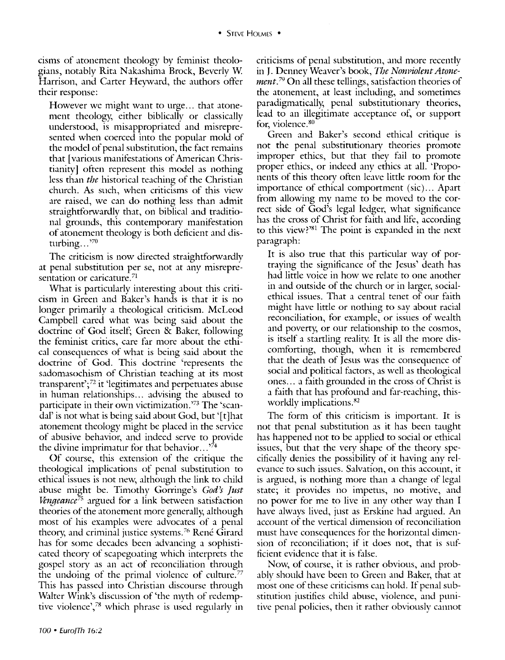cisms of atonement theology by feminist theologians, notably Rita Nakashima Brock, Beverly W Harrison, and Carter Heyward, the authors offer their response:

However we might want to urge... that atonement theology, either biblically or classically understood, is misappropriated and misrepresented when coerced into the popular mold of the model of penal substitution, the fact remains that [various manifestations of American Christianity] often represent this model as nothing less than *the* historical teaching of the Christian church. As such, when criticisms of this view are raised, we can do nothing less than admit straightforwardly that, on biblical and traditional grounds, this contemporary manifestation of atonement theology is both deficient and disturbing...'<sup>70</sup>

The criticism is now directed straightforwardly at penal substitution per se, not at any misrepresentation or caricature.<sup>71</sup>

What is particularly interesting about this criticism in Green and Baker's hands is that it is no longer primarily a theological criticism. McLeod Campbell cared what was being said about the doctrine of God itself; Green & Baker, following the feminist critics, care far more about the ethical consequences of what is being said about the doctrine of God. This doctrine 'represents the sadomasochism of Christian teaching at its most transparent'; 72 it 'legitimates and perpetuates abuse in human relationships ... advising the abused to participate in their own victimization.'73 The 'scandal' is not what is being said about God, but '[t] hat atonement theology might be placed in the service of abusive behavior, and indeed serve to provide the divine imprimatur for that behavior. .. ' 74

Of course, this extension of the critique the theological implications of penal substitution to ethical issues is not new, although the link to child abuse might be. Timothy Gorringe's *God)s Just Vengeance*<sup>75</sup> argued for a link between satisfaction theories of the atonement more generally, although most of his examples were advocates of a penal theory, and criminal justice systems.<sup>76</sup> René Girard has for some decades been advancing a sophisticated theory of scapegoating which interprets the gospel story as an act of reconciliation through the undoing of the primal violence of culture.<sup>77</sup> This has passed into Christian discourse through Walter Wink's discussion of 'the myth of redemptive violence',<sup>78</sup> which phrase is used regularly in

criticisms of penal substitution, and more recently in J. Denney Weaver's book, *The Nonviolent Atonement*.<sup>79</sup> On all these tellings, satisfaction theories of the atonement, at least including, and sometimes paradigmatically, penal substitutionary theories, lead to an illegitimate acceptance of, or support for, violence.<sup>80</sup>

Green and Baker's second ethical critique is not the penal substitutionary theories promote improper ethics, but that they fail to promote proper ethics, or indeed any ethics at all. 'Proponents of this theory often leave little room for the importance of ethical comportment (sic) ... Apart from allowing my name to be moved to the correct side of God's legal ledger, what significance has the cross of Christ for faith and life, according to this view?'81 The point is expanded in the next paragraph:

It is also trne that this particular way of portraying the significance of the Jesus' death has had little voice in how we relate to one another in and outside of the church or in larger, socialethical issues. That a central tenet of our faith might have little or nothing to say about racial reconciliation, for example, or issues of wealth and poverty, or our relationship to the cosmos, is itself a startling reality It is all the more discomforting, though, when it is remembered that the death of Jesus was the consequence of social and political factors, as well as theological ones ... a faith grounded in the cross of Christ is a faith that has profound and far-reaching, thisworldly implications. <sup>82</sup>

The form of this criticism is important. It is not that penal substitution as it has been taught has happened not to be applied to social or ethical issues, but that the very shape of the theory specifically denies the possibility of it having any relevance to such issues. Salvation, on this account, it is argued, is nothing more than a change of legal state; it provides no impetus, no motive, and no power for me to live in any other way than I have always lived, just as Erskine had argued. An account of the vertical dimension of reconciliation must have consequences for the horizontal dimension of reconciliation; if it does not, that is sufficient evidence that it is false.

Now, of course, it is rather obvious, and probably should have been to Green and Baker, that at most one of these criticisms can hold. If penal substitution justifies child abuse, violence, and punitive penal policies, then it rather obviously cannot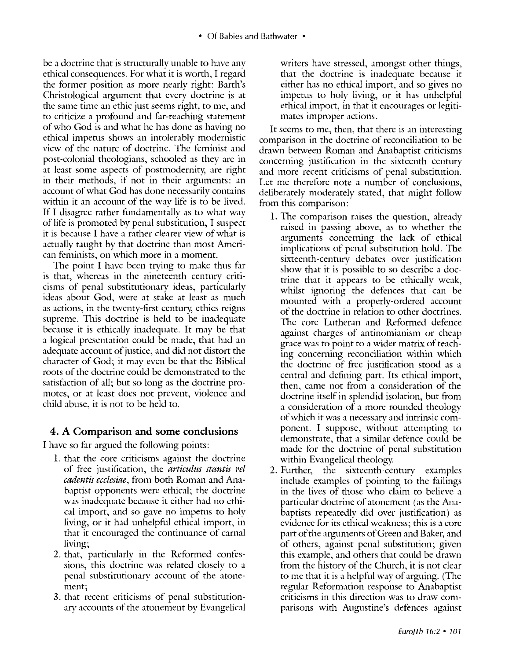be a doctrine that is strncturally unable to have any ethical consequences. For what it is worth, I regard the former position as more nearly right: Earth's Christological argument that every doctrine is at the same time an ethic just seems right, to me, and to criticize a profound and far-reaching statement of who God is and what he has done as having no ethical impetus shows an intolerably modernistic view of the nature of doctrine. The feminist and post-colonial theologians, schooled as they are in at least some aspects of postmodernity; are right in their methods, if not in their arguments: an account of what God has done necessarily contains within it an account of the way life is to be lived. If I disagree rather fundamentally as to what way of life is promoted by penal substitution, I suspect it is because I have a rather clearer view of what is actually taught by that doctrine than most American feminists, on which more in a moment.

The point I have been trying to make thus far is that, whereas in the nineteenth century criticisms of penal substitutionary ideas, particularly ideas about God, were at stake at least as much as actions, in the twenty-first century, ethics reigns supreme. This doctrine is held to be inadequate because it is ethically inadequate. It may be that a logical presentation could be made, that had an adequate account of justice, and did not distort the character of God; it may even be that the Biblical roots of the doctrine could be demonstrated to the satisfaction of all; but so long as the doctrine promotes, or at least does not prevent, violence and child abuse, it is not to be held to.

# 4. A Comparison and some conclusions

I have so far argued the following points:

- 1. that the core criticisms against the doctrine of free justification, the *articulus stantis rel cadentis ecclesiae,* from both Roman and Anabaptist opponents were ethical; the doctrine was inadequate because it either had no ethical import, and so gave no impetus to holy living, or it had unhelpful ethical import, in that it encouraged the continuance of carnal living;
- 2. that, particularly in the Reformed confessions, this doctrine was related closely to a penal substitutionary account of the atonement;
- 3. that recent criticisms of penal substitutionary accounts of the atonement by Evangelical

writers have stressed, amongst other things, that the doctrine is inadequate because it either has no ethical import, and so gives no impetus to holy living, or it has unhelpful ethical import, in that it encourages or legitimates improper actions.

It seems to me, then, that there is an interesting comparison in the doctrine of reconciliation to be drawn between Roman and Anabaptist criticisms concerning justification in the sixteenth century and more recent criticisms of penal substitution. Let me therefore note a number of conclusions, deliberately moderately stated, that might follow from this comparison:

- 1. The comparison raises the question, already raised in passing above, as to whether the arguments concerning the lack of ethical implications of penal substitution hold. The sixteenth-century debates over justification show that it is possible to so describe a doctrine that it appears to be ethically weak, whilst ignoring the defences that can be mounted with a properly-ordered account of the doctrine in relation to other doctrines. The core Lutheran and Reformed defence against charges of antinomianism or cheap grace was to point to a wider matrix of teaching concerning reconciliation within which the doctrine of free justification stood as a central and defining part. Its ethical import, then, came not from a consideration of the doctrine itself in splendid isolation, but from a consideration of a more rounded theology of which it was a necessarv and intrinsic component. I suppose, without attempting to demonstrate, that a similar defence could be made for the doctrine of penal substitution within Evangelical theology:
- 2. Further, the sixteenth-century examples include examples of pointing to the failings in the lives of those who claim to believe a particular doctrine of atonement (as the Anabaptists repeatedly did over justification) as evidence for its ethical weakness; this is a core part of the arguments of Green and Baker, and of others, against penal substitution; given this example, and others that could be drawn from the historv of the Church, it is not clear to me that it is a helpful way of arguing. (The regular Reformation response to Anabaptist criticisms in this direction was to draw comparisons with Augustine's defences against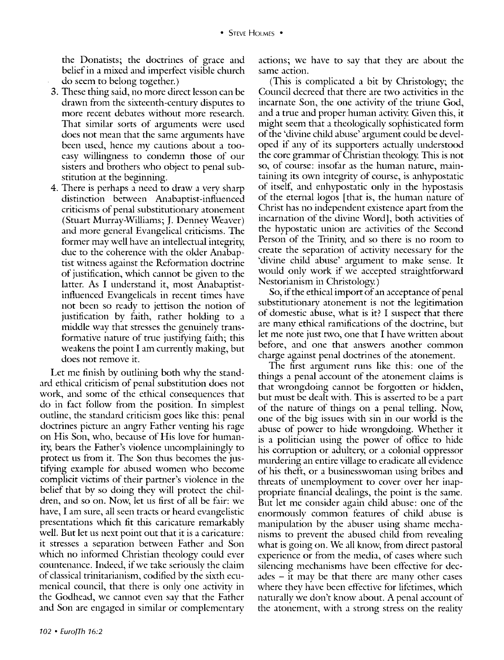the Donatists; the doctrines of grace and belief in a mixed and imperfect visible church do seem to belong together.)

- 3. These thing said, no more direct lesson can be drawn from the sixteenth-century disputes to more recent debates without more research. That similar sorts of arguments were used does not mean that the same arguments have been used, hence my cautions about a tooeasy willingness to condemn those of our sisters and brothers who object to penal substitution at the beginning.
- 4. There is perhaps a need to draw a very sharp distinction between Anabaptist-influenced criticisms of penal substitutionary atonement (Stuart Murray-Williams; J. Denney Weaver) and more general Evangelical criticisms. The former may well have an intellectual integrity, due to the coherence with the older Anabaptist witness against the Reformation doctrine of justification, which cannot be given to the latter. As I understand it, most Anabaptistinfluenced Evangelicals in recent times have not been so ready to jettison the notion of justification by faith, rather holding to a middle way that stresses the genuinely transformative namre of tme justifying faith; this weakens the point I am currently making, but does not remove it.

Let me finish by outlining both why the standard ethical criticism of penal substitution does not work, and some of the ethical consequences that do in fact follow from the position. In simplest outline, the standard criticism goes like this: penal doctrines picture an angry Father venting his rage on His Son, who, because of His love for humanity, bears the Father's violence uncomplainingly to protect us from it. The Son thus becomes the justifying example for abused women who become complicit victims of their partner's violence in the belief that by so doing they will protect the children, and so on. Now, let us first of all be fair: we have, I am sure, all seen tracts or heard evangelistic presentations which fit this caricature remarkably well. But let us next point out that it is a caricature: it stresses a separation between Father and Son which no informed Christian theology could ever countenance. Indeed, if we take seriously the claim of classical trinitarianism, codified bv the sixth ecumenical council, that there is only one activity in the Godhead, we cannot even sav that the Father and Son are engaged in similar or complementary

actions; we have to say that they are about the same action.

(This is complicated a bit by Christology; the Council decreed that there are two activities in the incarnate Son, the one activitv of the triune God, and a true and proper human activity. Given this, it might seem that a theologically sophisticated form of the 'divine child abuse' argument could be developed if any of its supporters actually understood the core grammar of Christian theology. This is not so, of course: insofar as the human nature, maintaining its own integrity of course, is anhypostatic of itself~ and enhypostatic only in the hypostasis of the eternal logos [that is, the human nature of Christ has no independent existence apart from the incarnation of the divine Word], both activities of the hypostatic union are activities of the Second Person of the Trinity, and so there is no room to create the separation of activity necessary for the 'divine child abuse' argument to make sense. It would only work if we accepted straightforward Nestorianism in Christology.)

So, if the ethical import of an acceptance of penal substimtionary atonement is not the legitimation of domestic abuse, what is it? I suspect that there are many ethical ramifications of the doctrine, but let me note just two, one that I have written about before, and one that answers another common charge against penal doctrines of the atonement.

The first argument mns like this: one of the things a penal account of the atonement claims is that wrongdoing cannot be forgotten or hidden, but must be dealt with. This is asserted to be a part of the nature of things on a penal telling. Now, one of the big issues with sin in our world is the abuse of power to hide wrongdoing. Whether it is a politician using the power of office to hide his cormption or adultery; or a colonial oppressor murdering an entire village to eradicate all evidence of his theft, or a businesswoman using bribes and threats of unemployment to cover over her inappropriate financial dealings, the point is the same. But let me consider again child abuse: one of the enormously common features of child abuse is manipulation by the abuser using shame mechanisms to prevent the abused child from revealing what is going on. We all know, from direct pastoral experience or from the media, of cases where such silencing mechanisms have been effective for dec $ades - it may be that there are many other cases$ where they have been effective for lifetimes, which naturally we don't know about. A penal account of the atonement, with a strong stress on the reality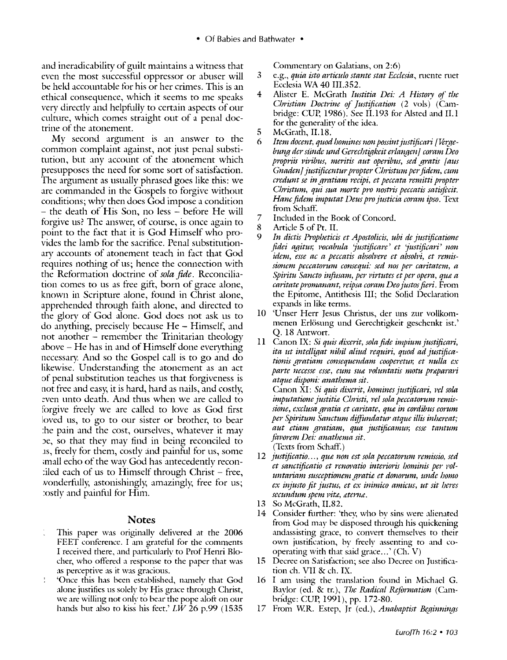• Of Babies and Bathwater •

and ineradicability of guilt maintains a witness that even the most successful oppressor or abuser will be held accountable for his or her crimes. This is an ethical consequence, which it seems to me speaks very directly and helpfully to certain aspects of our culture, which comes straight out of a penal doctrine of the atonement.

My second argument is an answer to the common complaint against, not just penal substitution, but any account of the atonement which presupposes the need for some sort of satisfaction. The argument as usually phrased goes like this: we are commanded in the Gospels to forgive without conditions; why then does God impose a condition - the death of His Son, no less - before He will forgive us? The answer, of course, is once again to point to the fact that it is God Himself who provides the lamb for the sacrifice. Penal substitutionary accounts of atonement teach in fact that God requires nothing of us; hence the connection with the Reformation doctrine of *sola fide.* Reconciliation comes to us as free gifr, born of grace alone, known in Scripture alone, found in Christ alone, apprehended through faith alone, and directed to the glory of God alone. God does not ask us to  $\alpha$  do anything, precisely because He – Himself, and not another - remember the Trinitarian theology above - He has in and of Himself done everything necessary. And so the Gospel call is to go and do likewise. Understanding the atonement as an act of penal substitution teaches us that forgiveness is not free and easy; it is hard, hard as nails, and costly, even unto death. And thus when we are called to forgive freely we are called to love as God first loved us, to go to our sister or brother, to bear :he pain and the cost, ourselves, whatever it may Je, so that they may find in being reconciled to 1s, freely for them, costly ind painful for us, some ;mall echo of the wav God has antecedently recon  $i$ led each of us to Himself through Christ - free, ,vonderfully; astonishingly; amazingly; free for us; :ostly and painful for Him.

## **Notes**

- This paper was originally delivered at the 2006 FEET conference. I am grateful for the comments I received there, and particularly to Prof Henri Blocher, who offered a response to the paper that was as perceptive as it was gracious.
- 'Once this has been established, namely that God alone justifies us solely by His grace through Christ, we are willing not only to bear the pope alofr on our hands but also to kiss his feet.'  $L\bar{W}$  26 p.99 (1535)

Commentary on Galatians, on 2:6)

- 3 e.g., *quia isto articulo stante stat Ecclesia,* mente met Ecclesia WA 40 III.352.
- 4 Alister E. McGrath *Iustitia Dei: A History of the Christian Doctrine of Justification* (2 vols) (Cambridge: CUP, 1986). See II.193 for Alsted and II.1 for the generality of the idea.
- 5 McGrath, II.18.<br>6 Item docent. auga
- Item docent, quod homines non possint justificari [Verge*bung der sünde und Gerechtigkeit erlangen] coram Deo propriis 1*1*iribus, meritis aut operibus, sed gratis [ aus Gnadenj justijiccntur propter Cbristum per fidem, cum credunt se in gratiam recipi, et peccata remitti propter Christum, qui sua morte pro nostris peccatis satisfecit. Hane fidem imputat Deus pro justicia coram ipso.* Text from Schaff.
- 7 Included in the Book of Concord.<br>8 Article 5 of Pt. II.
- 8 Article 5 of Pt. II.<br>9 In dictis Prophetici
- 9 *In dictis Propheticis et Apostolicis, ubi de justijicatione fidei agitur, Focabula 'justijicare' et 'justijicari' non*  idem, esse ac a peccatis absolvere et absolvi, et remis*sionem peccatorum consequi: sed nos per caritatem, a Spiritu Sancto infusam, per virtutes et per opera, que a caritate promanant, reipsa coram Deo justos fieri.* From the Epitome, Antithesis III; the Solid Declaration expands in like terms.
- 10 'Unser Herr Jesus Christus, der uns zur vollkommenen Erlösung und Gerechtigkeit geschenkt ist.' Q. 18 Antwort.
- 11 Canon IX: *Si quis dixerit, sofa fide impium justijicari,*  ita ut intelligat nihil aliud requiri, quod ad justifica*tionis gratiam consequendam cooperetur, et nttlla ex*  parte necesse esse, cum sua voluntatis motu praparari *atque disponi: anathema sit.*

Canon XI: *Si quis dixerit, homines justificari, vel sola imputatione justitiæ Christi, vel sola peccatorum remis* $sione, exclusa gratia et caritate, que in cordibus eorum$ *per Spiritum Sanctum diffundatur atque illis inhereat; aut etiam gi-atiam, qua justijicamur, esse tantum*  favorem Dei: anathema sit. (Texts from Schaff.)

12 *justificatio..., que non est sola peccatorum remissio, sed et sanctijicatio et i-enm*1*atio interioris hominis pe1' pofuntariam susceptionem grati£ et donorum, unde homo ex injusto fit Justus, et ex inimico amicus, ut sit /;eres secundum spem Pit£, &tenu.* 

- 13 So McGrath, II.82.
- 14 Consider further: 'they, who by sins were alienated from God may be disposed through his quickening andassisting grace, to convert themselves to their own justification, by freely assenting to and cooperating with that said grace ... ' (Ch. V)
- 15 Decree on Satisfaction; see also Decree on Justification eh. VII & eh. IX.
- 16 I am using the translation found in Michael G. Baylor (ed. & tr.), *111e Radical Reformation* (Cambridge: CUP, 1991), pp. 172-80.
- 17 From W.R. Estep, Jr (ed.), *Anabaptist Beginnings*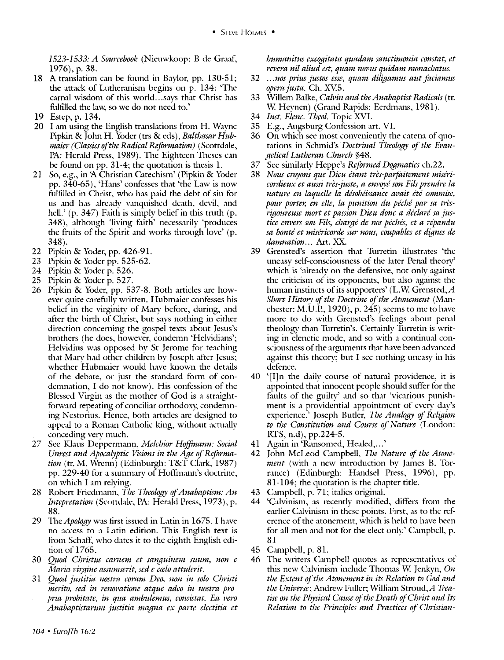1523-1533: *A Sourcebooll* (Nieuwkoop: B de Graaf, 1976), p. 38.

- 18 A translation can be found in Baylor, pp. 130-51; the attack of Lutheranism begins on p. 134: 'The carnal wisdom of this world...says that Christ has fulfilled the law, so we do not need to.'
- 19 Estep, p. 134.
- $20$  I am using the English translations from H. Wayne Pipkin & John H. Yoder (trs & eds), *Balthasar Hubmaier (Classics of the Radical Rcjbrmation)* ( Scottdale, PA: Herald Press, 1989). The Eighteen Theses can be found on pp. 31-4; the quotation is thesis 1.
- 21 So, e.g., in 'A Christian Catechism' (Pipkin & Yoder pp. 340-65), 'H,ms' confesses that 'the Law is now fulfilled in Christ, who has paid the debt of sin for us and has already vanquished death, devil, and hell.' (p. 347) Faith is simply belief in this truth (p. 348), although 'living faith' necessarily 'produces the frnits of the Spirit and works through love' (p. 348).
- 22 Pipkin & Yoder, pp. 426-91.
- 23 Pipkin & Yoder pp. 525-62.
- 24 Pipkin & Yoder p. 526.
- 25 Pipkin & Yoder p. 527.
- 26 Pipkin & Yoder, pp. 537-8. Both articles are however quite carefully written. Hubmaier confesses his belief in the virginity of Mary before, during, and after the birth of Christ, but says nothing in either direction concerning the gospel texts about Jesus's brothers (he does, however, condemn 'Helvidians'; Helvidius was opposed by St Jerome for teaching that Mary had other children by Joseph after Jesus; whether Hubmaier would have known the details of the debate, or just the standard form of condemnation, I do not know). His confession of the Blessed Virgin as the mother of God is a straightforward repeating of conciliar orthodoxy, condemning Nestorius. Hence, both articles are designed to appeal to a Roman Catholic king, without actually conceding very much.
- 27 See Klaus Deppermann, *Melchior Hoffmann: Social* Unrest and *Apocalyptic Visions in the Age of Reformation* (tr. M. Wrenn) (Edinburgh: T&T Clark, 1987) pp. 229-40 for a summary of Hoffmann's doctrine, on which I am relying.
- 28 Robert Friedmann, *The Theology of Anabaptism: An Intcpretation* (Scottdale, PA: Herald Press, 1973), p. 88.
- 29 The *Apology* was first issued in Latin in 1675. I have no access to a Latin edition. This English text is from Schaff, who dates it to the eighth English edition of 1765.
- 30 *Q;wd Christus carncm et sanguincm suum, non c Maria virgine assumserit, sed e calo attulerit.*
- 31 *Q;tod justitia nostra coram Deo, non in solo Christi*  merito, sed in renovatione atque adeo in nostra pro*pria probitate, in qua ambulemus, consistat. Ea Fero Anabaptistanmi justitia magna ex parte clectitia et*
- 32 .. *. nos prius justos csse, quam diligamus aut jaciamus opera Justa.* Ch. XV5.
- 33 Willem Balke, *Calpin and the Anabaptist Radicals* ( tr. W. Heynen) (Grand Rapids: Eerdmans, 1981).
- 34 *Inst. Elene. Theo!.* Topic XVI.
- 35 E.g., Augsburg Confession art. VI.
- 36 On which see most conveniently the catena of quotations in Schmid's *Doctrinal Theology of the Evan-Jfelical Lutheran Church* §48.
- 37 See similarly Heppe's *Reformed Dogmatics* ch.22.
- 38 *Nous croyons que Dieu étant très-parfaitement miséricordieux et aussi très-juste, a envoyé son Fils prendre la* nature en laquelle la désobéissance avait été commise, pour porter, en elle, la punition du péché par sa très*rigoureuse nwrt et passion Dieu done a die/are sa justice em>ers son Fils,* c/Ja~rre de *nos pee/Jes, et a repandu*  sa bonté et miséricorde sur nous, coupables et dignes de *damnation ...* Art. XX.
- 39 Grensted's assertion that Turretin illustrates 'the uneasy self-consciousness of the later Penal theory' which is 'already on the defensive, not only against the criticism of its opponents, but also against the human instincts of its supporters' (L.W. Grensted,  $A$ *Short History of the Doctrine of the Atonement* (Manchester: M.U.P., 1920), p. 245) seems to me to have more to do with Grensted's feelings about penal theology than Turretin's. Certainly Turretin is writing in elenctic mode, and so with a continual consciousness of the arguments that have been advanced against this theory; but I see nothing uneasy in his defence.
- 40 '[I]n the daily course of natural providence, it is appointed that innocent people should suffer for the faults of the guilty' and so that 'vicarious punishment is a providential appointment of every day's experience.' Joseph Butler, *The Analogy of Religion to the Constitution and Course of Nature* (London: RTS, n.d), pp.224-5.
- 41 Again in 'Ransomed, Healed, ... '
- 42 John McLeod Cunpbell, *Tbe Nature of the Atonement* (with a new introduction by James B. Torrance) (Edinburgh: Handsel Press, 1996), pp. 81-104; the quotation is the chapter title.
- 43 Cunpbell, p. 71; italics original.
- 44 'Calvinism, as recently modified, differs from the earlier Calvinism in these points. First, as to the reference of the atonement, which is held to have been for all men and not for the elect only.' Campbell, p. 81
- 45 Campbell, p. 81.
- 46 The writers Cunpbell quotes as representatives of this new Calvinism include Thomas W. Jenkvn, On *the Extent of the Atonement in its Relation to God and*  the Universe; Andrew Fuller; William Stroud, A Trea*tise on the Physical Cause of the Death of Christ and Its Relation to the Principles and Practices of Christian-*